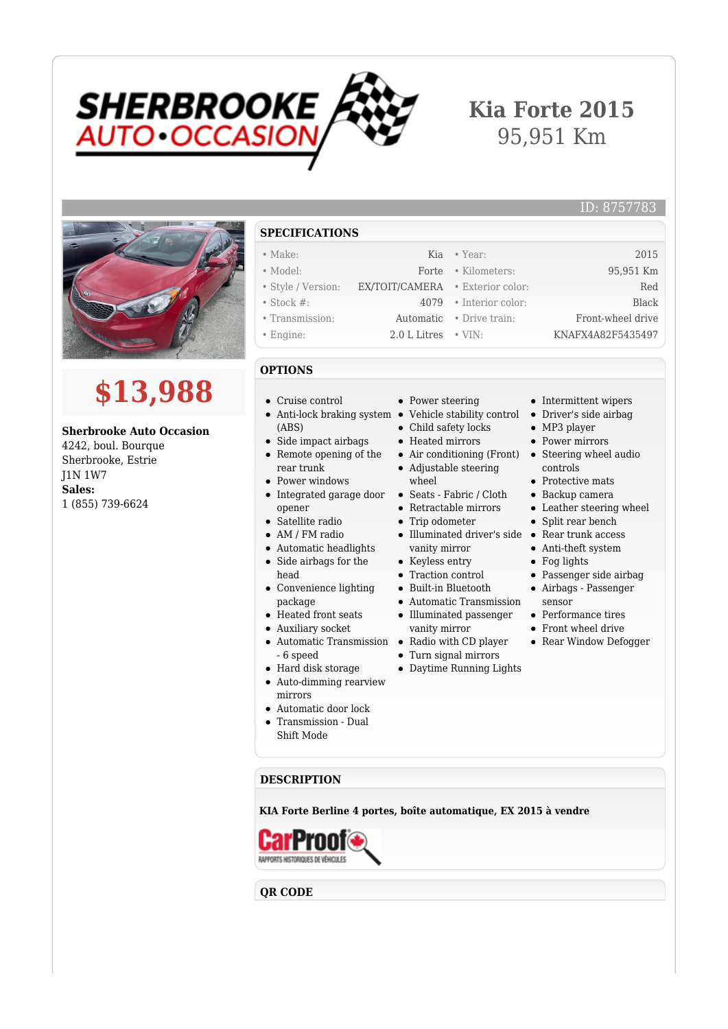

## **Kia Forte 2015** 95,951 Km



# **\$13,988**

#### **Sherbrooke Auto Occasion**

4242, boul. Bourque Sherbrooke, Estrie J1N 1W7 **Sales:** 1 (855) 739-6624

#### **SPECIFICATIONS**

- 
- 
- 
- 
- 
- 
- **OPTIONS**
- Cruise control
- Anti-lock braking system Vehicle stability control (ABS)
- Side impact airbags
- Remote opening of the rear trunk
- Power windows
- Integrated garage door opener
- Satellite radio
- AM / FM radio
- Automatic headlights  $\bullet$
- Side airbags for the  $\bullet$ head
- Convenience lighting package
- Heated front seats
- Auxiliary socket
- $\bullet$
- 6 speed
- Hard disk storage
- Auto-dimming rearview mirrors
- Automatic door lock
- Transmission Dual
- Shift Mode
- Power steering
- 
- Child safety locks
- Heated mirrors
- 
- Adjustable steering wheel
- Seats Fabric / Cloth
- Retractable mirrors
- Trip odometer
- Illuminated driver's side Rear trunk access vanity mirror
- Keyless entry
- Traction control
- Built-in Bluetooth
- Automatic Transmission
- Illuminated passenger vanity mirror
- Automatic Transmission Radio with CD player
	- Turn signal mirrors
	- Daytime Running Lights
- Intermittent wipers Driver's side airbag
- MP3 player
- Power mirrors
- Air conditioning (Front) Steering wheel audio controls
	- Protective mats
	- Backup camera
	- Leather steering wheel
	- Split rear bench
	-
	- Anti-theft system
	- Fog lights
	- Passenger side airbag
	- Airbags Passenger
	- sensor
	- Performance tires
	- Front wheel drive
	- Rear Window Defogger

**DESCRIPTION**

**KIA Forte Berline 4 portes, boîte automatique, EX 2015 à vendre**



### **QR CODE**

- Make: Kia Year: 2015 • Model: Forte • Kilometers: 95,951 Km
	-
	-
	-
	-

• Style / Version: EX/TOIT/CAMERA • Exterior color: Red • Stock #: 4079 • Interior color: Black

• Transmission: Automatic • Drive train: Front-wheel drive • Engine: 2.0 L Litres • VIN: KNAFX4A82F5435497

ID: 8757783